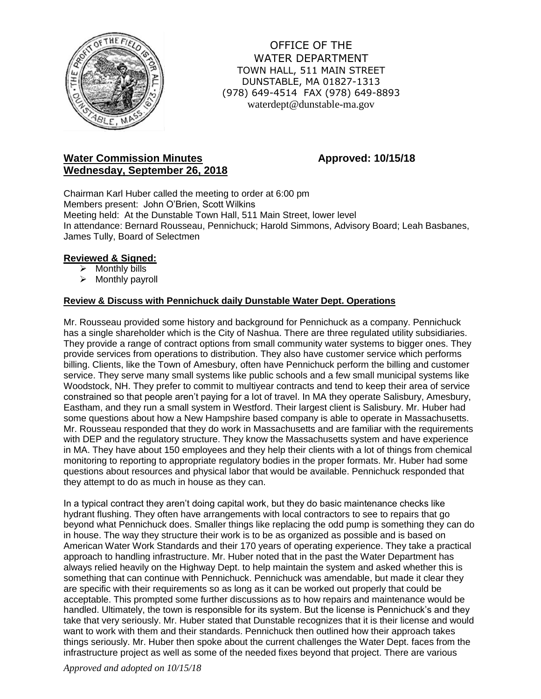

OFFICE OF THE WATER DEPARTMENT TOWN HALL, 511 MAIN STREET DUNSTABLE, MA 01827-1313 (978) 649-4514 FAX (978) 649-8893 waterdept@dunstable-ma.gov

# **Water Commission Minutes <b>Approved:** 10/15/18 **Wednesday, September 26, 2018**

Chairman Karl Huber called the meeting to order at 6:00 pm Members present: John O'Brien, Scott Wilkins Meeting held: At the Dunstable Town Hall, 511 Main Street, lower level In attendance: Bernard Rousseau, Pennichuck; Harold Simmons, Advisory Board; Leah Basbanes, James Tully, Board of Selectmen

### **Reviewed & Signed:**

- $\triangleright$  Monthly bills
- $\triangleright$  Monthly payroll

## **Review & Discuss with Pennichuck daily Dunstable Water Dept. Operations**

Mr. Rousseau provided some history and background for Pennichuck as a company. Pennichuck has a single shareholder which is the City of Nashua. There are three regulated utility subsidiaries. They provide a range of contract options from small community water systems to bigger ones. They provide services from operations to distribution. They also have customer service which performs billing. Clients, like the Town of Amesbury, often have Pennichuck perform the billing and customer service. They serve many small systems like public schools and a few small municipal systems like Woodstock, NH. They prefer to commit to multiyear contracts and tend to keep their area of service constrained so that people aren't paying for a lot of travel. In MA they operate Salisbury, Amesbury, Eastham, and they run a small system in Westford. Their largest client is Salisbury. Mr. Huber had some questions about how a New Hampshire based company is able to operate in Massachusetts. Mr. Rousseau responded that they do work in Massachusetts and are familiar with the requirements with DEP and the regulatory structure. They know the Massachusetts system and have experience in MA. They have about 150 employees and they help their clients with a lot of things from chemical monitoring to reporting to appropriate regulatory bodies in the proper formats. Mr. Huber had some questions about resources and physical labor that would be available. Pennichuck responded that they attempt to do as much in house as they can.

In a typical contract they aren't doing capital work, but they do basic maintenance checks like hydrant flushing. They often have arrangements with local contractors to see to repairs that go beyond what Pennichuck does. Smaller things like replacing the odd pump is something they can do in house. The way they structure their work is to be as organized as possible and is based on American Water Work Standards and their 170 years of operating experience. They take a practical approach to handling infrastructure. Mr. Huber noted that in the past the Water Department has always relied heavily on the Highway Dept. to help maintain the system and asked whether this is something that can continue with Pennichuck. Pennichuck was amendable, but made it clear they are specific with their requirements so as long as it can be worked out properly that could be acceptable. This prompted some further discussions as to how repairs and maintenance would be handled. Ultimately, the town is responsible for its system. But the license is Pennichuck's and they take that very seriously. Mr. Huber stated that Dunstable recognizes that it is their license and would want to work with them and their standards. Pennichuck then outlined how their approach takes things seriously. Mr. Huber then spoke about the current challenges the Water Dept. faces from the infrastructure project as well as some of the needed fixes beyond that project. There are various

*Approved and adopted on 10/15/18*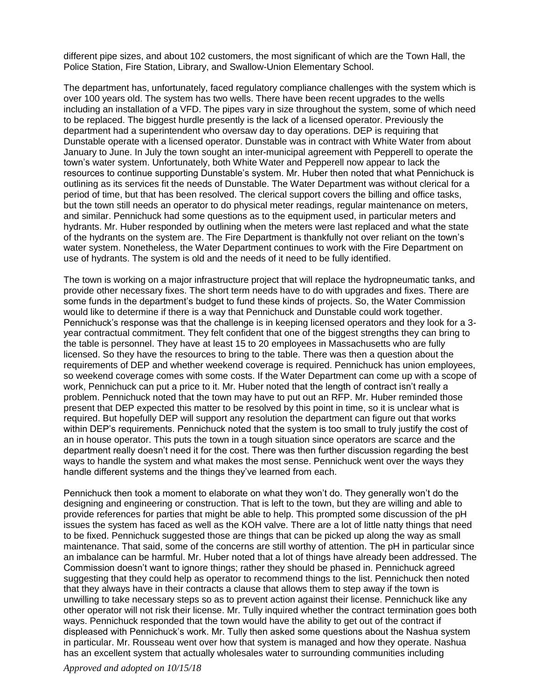different pipe sizes, and about 102 customers, the most significant of which are the Town Hall, the Police Station, Fire Station, Library, and Swallow-Union Elementary School.

The department has, unfortunately, faced regulatory compliance challenges with the system which is over 100 years old. The system has two wells. There have been recent upgrades to the wells including an installation of a VFD. The pipes vary in size throughout the system, some of which need to be replaced. The biggest hurdle presently is the lack of a licensed operator. Previously the department had a superintendent who oversaw day to day operations. DEP is requiring that Dunstable operate with a licensed operator. Dunstable was in contract with White Water from about January to June. In July the town sought an inter-municipal agreement with Pepperell to operate the town's water system. Unfortunately, both White Water and Pepperell now appear to lack the resources to continue supporting Dunstable's system. Mr. Huber then noted that what Pennichuck is outlining as its services fit the needs of Dunstable. The Water Department was without clerical for a period of time, but that has been resolved. The clerical support covers the billing and office tasks, but the town still needs an operator to do physical meter readings, regular maintenance on meters, and similar. Pennichuck had some questions as to the equipment used, in particular meters and hydrants. Mr. Huber responded by outlining when the meters were last replaced and what the state of the hydrants on the system are. The Fire Department is thankfully not over reliant on the town's water system. Nonetheless, the Water Department continues to work with the Fire Department on use of hydrants. The system is old and the needs of it need to be fully identified.

The town is working on a major infrastructure project that will replace the hydropneumatic tanks, and provide other necessary fixes. The short term needs have to do with upgrades and fixes. There are some funds in the department's budget to fund these kinds of projects. So, the Water Commission would like to determine if there is a way that Pennichuck and Dunstable could work together. Pennichuck's response was that the challenge is in keeping licensed operators and they look for a 3 year contractual commitment. They felt confident that one of the biggest strengths they can bring to the table is personnel. They have at least 15 to 20 employees in Massachusetts who are fully licensed. So they have the resources to bring to the table. There was then a question about the requirements of DEP and whether weekend coverage is required. Pennichuck has union employees, so weekend coverage comes with some costs. If the Water Department can come up with a scope of work, Pennichuck can put a price to it. Mr. Huber noted that the length of contract isn't really a problem. Pennichuck noted that the town may have to put out an RFP. Mr. Huber reminded those present that DEP expected this matter to be resolved by this point in time, so it is unclear what is required. But hopefully DEP will support any resolution the department can figure out that works within DEP's requirements. Pennichuck noted that the system is too small to truly justify the cost of an in house operator. This puts the town in a tough situation since operators are scarce and the department really doesn't need it for the cost. There was then further discussion regarding the best ways to handle the system and what makes the most sense. Pennichuck went over the ways they handle different systems and the things they've learned from each.

Pennichuck then took a moment to elaborate on what they won't do. They generally won't do the designing and engineering or construction. That is left to the town, but they are willing and able to provide references for parties that might be able to help. This prompted some discussion of the pH issues the system has faced as well as the KOH valve. There are a lot of little natty things that need to be fixed. Pennichuck suggested those are things that can be picked up along the way as small maintenance. That said, some of the concerns are still worthy of attention. The pH in particular since an imbalance can be harmful. Mr. Huber noted that a lot of things have already been addressed. The Commission doesn't want to ignore things; rather they should be phased in. Pennichuck agreed suggesting that they could help as operator to recommend things to the list. Pennichuck then noted that they always have in their contracts a clause that allows them to step away if the town is unwilling to take necessary steps so as to prevent action against their license. Pennichuck like any other operator will not risk their license. Mr. Tully inquired whether the contract termination goes both ways. Pennichuck responded that the town would have the ability to get out of the contract if displeased with Pennichuck's work. Mr. Tully then asked some questions about the Nashua system in particular. Mr. Rousseau went over how that system is managed and how they operate. Nashua has an excellent system that actually wholesales water to surrounding communities including

*Approved and adopted on 10/15/18*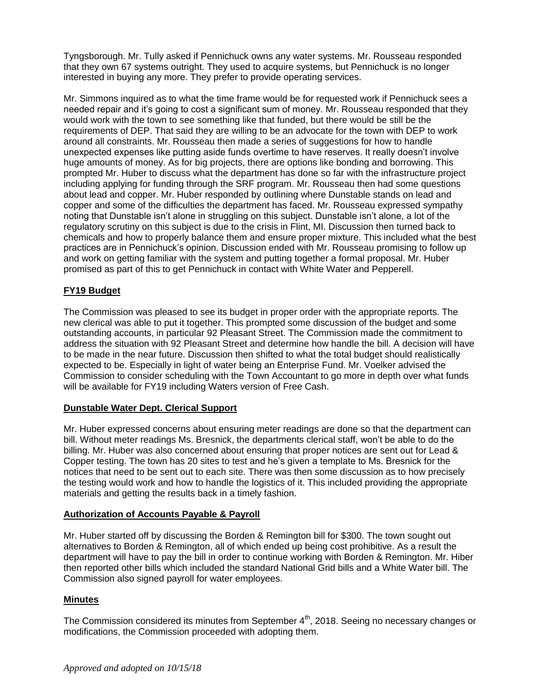Tyngsborough. Mr. Tully asked if Pennichuck owns any water systems. Mr. Rousseau responded that they own 67 systems outright. They used to acquire systems, but Pennichuck is no longer interested in buying any more. They prefer to provide operating services.

Mr. Simmons inquired as to what the time frame would be for requested work if Pennichuck sees a needed repair and it's going to cost a significant sum of money. Mr. Rousseau responded that they would work with the town to see something like that funded, but there would be still be the requirements of DEP. That said they are willing to be an advocate for the town with DEP to work around all constraints. Mr. Rousseau then made a series of suggestions for how to handle unexpected expenses like putting aside funds overtime to have reserves. It really doesn't involve huge amounts of money. As for big projects, there are options like bonding and borrowing. This prompted Mr. Huber to discuss what the department has done so far with the infrastructure project including applying for funding through the SRF program. Mr. Rousseau then had some questions about lead and copper. Mr. Huber responded by outlining where Dunstable stands on lead and copper and some of the difficulties the department has faced. Mr. Rousseau expressed sympathy noting that Dunstable isn't alone in struggling on this subject. Dunstable isn't alone, a lot of the regulatory scrutiny on this subject is due to the crisis in Flint, MI. Discussion then turned back to chemicals and how to properly balance them and ensure proper mixture. This included what the best practices are in Pennichuck's opinion. Discussion ended with Mr. Rousseau promising to follow up and work on getting familiar with the system and putting together a formal proposal. Mr. Huber promised as part of this to get Pennichuck in contact with White Water and Pepperell.

# **FY19 Budget**

The Commission was pleased to see its budget in proper order with the appropriate reports. The new clerical was able to put it together. This prompted some discussion of the budget and some outstanding accounts, in particular 92 Pleasant Street. The Commission made the commitment to address the situation with 92 Pleasant Street and determine how handle the bill. A decision will have to be made in the near future. Discussion then shifted to what the total budget should realistically expected to be. Especially in light of water being an Enterprise Fund. Mr. Voelker advised the Commission to consider scheduling with the Town Accountant to go more in depth over what funds will be available for FY19 including Waters version of Free Cash.

## **Dunstable Water Dept. Clerical Support**

Mr. Huber expressed concerns about ensuring meter readings are done so that the department can bill. Without meter readings Ms. Bresnick, the departments clerical staff, won't be able to do the billing. Mr. Huber was also concerned about ensuring that proper notices are sent out for Lead & Copper testing. The town has 20 sites to test and he's given a template to Ms. Bresnick for the notices that need to be sent out to each site. There was then some discussion as to how precisely the testing would work and how to handle the logistics of it. This included providing the appropriate materials and getting the results back in a timely fashion.

## **Authorization of Accounts Payable & Payroll**

Mr. Huber started off by discussing the Borden & Remington bill for \$300. The town sought out alternatives to Borden & Remington, all of which ended up being cost prohibitive. As a result the department will have to pay the bill in order to continue working with Borden & Remington. Mr. Hiber then reported other bills which included the standard National Grid bills and a White Water bill. The Commission also signed payroll for water employees.

#### **Minutes**

The Commission considered its minutes from September 4<sup>th</sup>, 2018. Seeing no necessary changes or modifications, the Commission proceeded with adopting them.